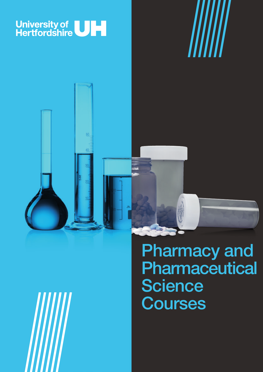







Pharmacy and **Pharmaceutical Science Courses**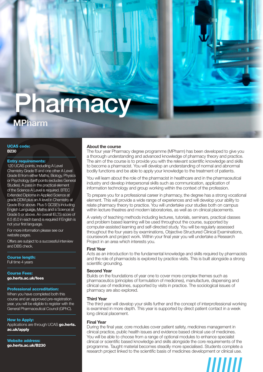# **MPharm** Pharmacy

UCAS code: **B230**

# Entry requirements:

120 UCAS points, including A Level Chemistry Grade B and one other A Level Grade B from either Maths, Biology, Physics or Psychology (tariff points excludes General Studies). A pass in the practical element of the Science A Level is required. BTEC Extended Diploma in Applied Science at grade DDM plus an A level in Chemistry at Grade B or above. Plus 5 GCSE's including English Language, Maths and a Science at Grade 5 or above. An overall IELTS score of 6.5 (6.0 in each band) is required if English is not your first language.

For more information please see our website pages.

Offers are subject to a successful interview and DBS check.

Course length: Full time 4 years

Course Fees: go.herts.ac.uk/fees

# Professional accreditation:

When you have completed both this course and an approved pre-registration year, you will be eligible to register with the General Pharmaceutical Council (GPhC).

#### How to Apply:

Applications are through UCAS go.herts. ac.uk/apply

Website address: go.herts.ac.uk/B230

# **About the course**

The four year Pharmacy degree programme (MPharm) has been developed to give you a thorough understanding and advanced knowledge of pharmacy theory and practice. The aim of the course is to provide you with the relevant scientific knowledge and skills to become a pharmacist. You will develop an understanding of normal and abnormal bodily functions and be able to apply your knowledge to the treatment of patients.

You will learn about the role of the pharmacist in healthcare and in the pharmaceutical industry and develop interpersonal skills such as communication, application of information technology and group working within the context of the profession.

To prepare you for a professional career in pharmacy, the degree has a strong vocational element. This will provide a wide range of experiences and will develop your ability to relate pharmacy theory to practice. You will undertake your studies both on campus within lecture theatres and modern laboratories, as well as on clinical placements.

A variety of teaching methods including lectures, tutorials, seminars, practical classes and problem based learning will be used throughout the course, supported by computer-assisted learning and self-directed study. You will be regularly assessed throughout the four years by examinations, Objective Structured Clinical Examinations, coursework and project work. Within your final year you will undertake a Research Project in an area which interests you.

# **First Year**

Acts as an introduction to the fundamental knowledge and skills required by pharmacists and the role of pharmacists is explored by practice visits. This is built alongside a strong scientific grounding.

# **Second Year**

Builds on the foundations of year one to cover more complex themes such as pharmaceutics (principles of formulation of medicines), manufacture, dispensing and clinical use of medicines, supported by visits in practice. The sociological issues of pharmacy are also explored.

#### **Third Year**

The third year will develop your skills further and the concept of interprofessional working is examined in more depth. This year is supported by direct patient contact in a week long clinical placement.

#### **Final Year**

During the final year, core modules cover patient safety, medicines management in clinical practice, public health issues and evidence based clinical use of medicines. You will be able to choose from a range of optional modules to enhance specialist clinical or scientific based knowledge and skills alongside the core requirements of the programme. Taught material becomes steadily more specialised. Students complete a research project linked to the scientific basis of medicines development or clinical use.

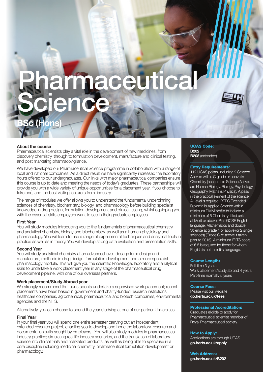# armaceu **Science**

# **About the course**

**BSc (Hons)** 

Pharmaceutical scientists play a vital role in the development of new medicines, from discovery chemistry, through to formulation development, manufacture and clinical testing, and post marketing pharmacovigilance.

We have developed our Pharmaceutical Science programme in collaboration with a range of local and national companies. As a direct result we have significantly increased the laboratory hours offered to our undergraduates. Our links with major pharmaceutical companies ensure this course is up to date and meeting the needs of today's graduates. These partnerships will provide you with a wide variety of unique opportunities for a placement year, if you choose to take one, and the best visiting lecturers from industry.

The range of modules we offer allows you to understand the fundamental underpinning sciences of chemistry, biochemistry, biology, and pharmacology before building specialist knowledge in drug design, formulation development and clinical testing, whilst equipping you with the essential skills employers want to see in their graduate employees.

#### **First Year**

You will study modules introducing you to the fundamentals of pharmaceutical chemistry and analytical chemistry, biology and biochemistry, as well as a human physiology and pharmacology. You will learn to use a range of experimental techniques and analytical tools in practice as well as in theory. You will develop strong data evaluation and presentation skills.

#### **Second Year**

You will study analytical chemistry at an advanced level, dosage form design and manufacture, methods in drug design, formulation development and a more specialist pharmacology module. This will give you the scientific knowledge, laboratory and analytical skills to undertake a work placement year in any stage of the pharmaceutical drug development pipeline, with one of our overseas partners.

# **Work placement/Study Abroad year**

We strongly recommend that our students undertake a supervised work placement; recent placements have been based in government and charity-funded research institutions, healthcare companies, agrochemical, pharmaceutical and biotech companies, environmental agencies and the NHS.

Alternatively, you can choose to spend the year studying at one of our partner Universities

### **Final Year**

In your final year you will spend one entire semester carrying out an independent extended research project, enabling you to develop and hone the laboratory, research and documentation skills sought by employers. You will also study modules in pharmaceutical industry practice; simulating real life industry scenarios, and the translation of laboratory science into clinical trials and marketed products, as well as being able to specialise in a core discipline including medicinal chemistry, pharmaceutical formulation development or pharmacology.

#### UCAS Code: **B202 B208** (extended)

# Entry Requirements:

112 UCAS points, including 2 Science A levels with a C grade or above in Chemistry (acceptable Science A levels are Human Biology, Biology, Psychology, Geography, Maths & Physics). A pass in the practical element of the science A Level is required. BTEC Extended Diploma in Applied Science with a minimum DMM profile to include a minimum of 6 Chemistry-titled units at Merit or above. Plus GCSE English language, Mathematics and double Science at grade 4 or above (or 2 single sciences) (Grade C or above if taken prior to 2015). A minimum IELTS score of 6.5 is required for those for whom English is not their first language.

#### Course Length:

Full-time 3 years Work placement/study abroad 4 years Part-time normally 5 years

#### Course Fees:

Please visit our website **go.herts.ac.uk/fees**

#### Professional Accreditation:

Graduates eligible to apply for Pharmaceutical scientist member of Royal Pharmaceutical society.

#### How to Apply:

Applications are through UCAS **go.herts.ac.uk/apply**

Web Address: **go.herts.ac.uk/B202**